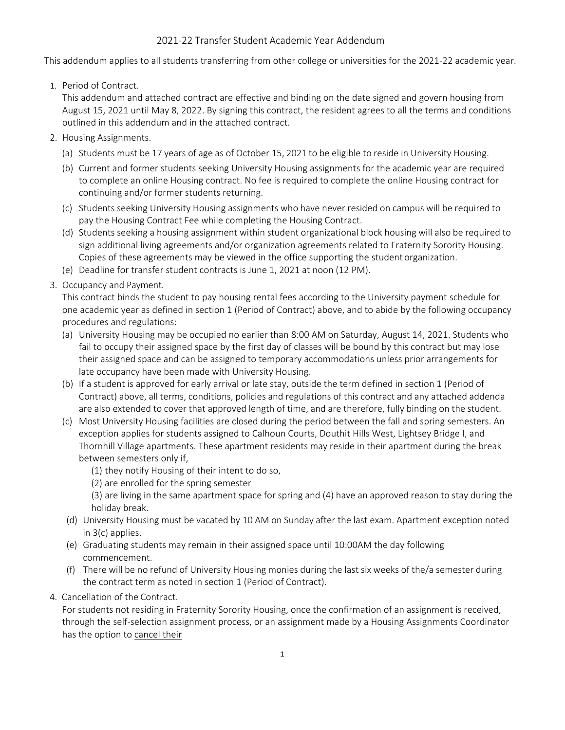## 2021-22 Transfer Student Academic Year Addendum

This addendum applies to all students transferring from other college or universities for the 2021-22 academic year.

1. Period of Contract.

This addendum and attached contract are effective and binding on the date signed and govern housing from August 15, 2021 until May 8, 2022. By signing this contract, the resident agrees to all the terms and conditions outlined in this addendum and in the attached contract.

- 2. Housing Assignments.
	- (a) Students must be 17 years of age as of October 15, 2021 to be eligible to reside in University Housing.
	- (b) Current and former students seeking University Housing assignments for the academic year are required to complete an online Housing contract. No fee is required to complete the online Housing contract for continuing and/or former students returning.
	- (c) Students seeking University Housing assignments who have never resided on campus will be required to pay the Housing Contract Fee while completing the Housing Contract.
	- (d) Students seeking a housing assignment within student organizational block housing will also be required to sign additional living agreements and/or organization agreements related to Fraternity Sorority Housing. Copies of these agreements may be viewed in the office supporting the student organization.
	- (e) Deadline for transfer student contracts is June 1, 2021 at noon (12 PM).
- 3. Occupancy and Payment.

This contract binds the student to pay housing rental fees according to the University payment schedule for one academic year as defined in section 1 (Period of Contract) above, and to abide by the following occupancy procedures and regulations:

- (a) University Housing may be occupied no earlier than 8:00 AM on Saturday, August 14, 2021. Students who fail to occupy their assigned space by the first day of classes will be bound by this contract but may lose their assigned space and can be assigned to temporary accommodations unless prior arrangements for late occupancy have been made with University Housing.
- (b) If a student is approved for early arrival or late stay, outside the term defined in section 1 (Period of Contract) above, all terms, conditions, policies and regulations of this contract and any attached addenda are also extended to cover that approved length of time, and are therefore, fully binding on the student.
- (c) Most University Housing facilities are closed during the period between the fall and spring semesters. An exception applies for students assigned to Calhoun Courts, Douthit Hills West, Lightsey Bridge I, and Thornhill Village apartments. These apartment residents may reside in their apartment during the break between semesters only if,
	- (1) they notify Housing of their intent to do so,
	- (2) are enrolled for the spring semester

(3) are living in the same apartment space for spring and (4) have an approved reason to stay during the holiday break.

- (d) University Housing must be vacated by 10 AM on Sunday after the last exam. Apartment exception noted in 3(c) applies.
- (e) Graduating students may remain in their assigned space until 10:00AM the day following commencement.
- (f) There will be no refund of University Housing monies during the last six weeks of the/a semester during the contract term as noted in section 1 (Period of Contract).
- 4. Cancellation of the Contract.

For students not residing in Fraternity Sorority Housing, once the confirmation of an assignment is received, through the self-selection assignment process, or an assignment made by a Housing Assignments Coordinator has the option to cancel their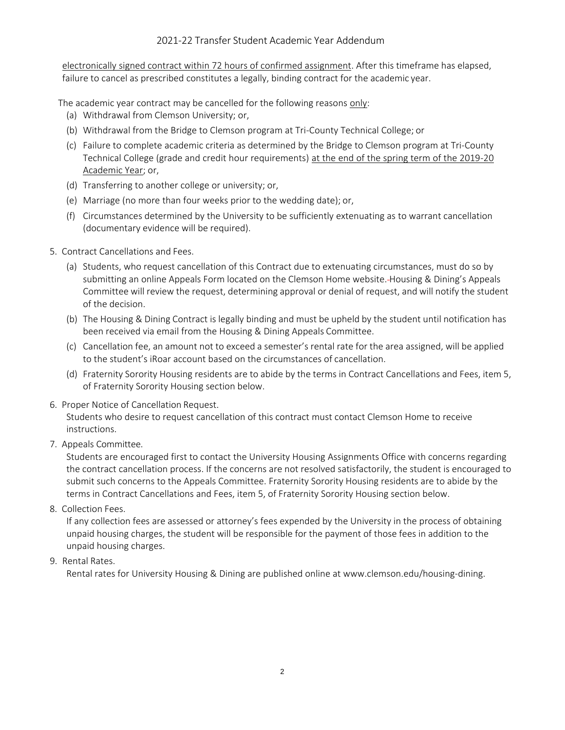electronically signed contract within 72 hours of confirmed assignment. After this timeframe has elapsed, failure to cancel as prescribed constitutes a legally, binding contract for the academic year.

The academic year contract may be cancelled for the following reasons only:

- (a) Withdrawal from Clemson University; or,
- (b) Withdrawal from the Bridge to Clemson program at Tri-County Technical College; or
- (c) Failure to complete academic criteria as determined by the Bridge to Clemson program at Tri-County Technical College (grade and credit hour requirements) at the end of the spring term of the 2019-20 Academic Year; or,
- (d) Transferring to another college or university; or,
- (e) Marriage (no more than four weeks prior to the wedding date); or,
- (f) Circumstances determined by the University to be sufficiently extenuating as to warrant cancellation (documentary evidence will be required).
- 5. Contract Cancellations and Fees.
	- (a) Students, who request cancellation of this Contract due to extenuating circumstances, must do so by submitting an online Appeals Form located on the Clemson Home website. Housing & Dining's Appeals Committee will review the request, determining approval or denial of request, and will notify the student of the decision.
	- (b) The Housing & Dining Contract is legally binding and must be upheld by the student until notification has been received via email from the Housing & Dining Appeals Committee.
	- (c) Cancellation fee, an amount not to exceed a semester's rental rate for the area assigned, will be applied to the student's iRoar account based on the circumstances of cancellation.
	- (d) Fraternity Sorority Housing residents are to abide by the terms in Contract Cancellations and Fees, item 5, of Fraternity Sorority Housing section below.
- 6. Proper Notice of Cancellation Request.

Students who desire to request cancellation of this contract must contact Clemson Home to receive instructions.

7. Appeals Committee.

Students are encouraged first to contact the University Housing Assignments Office with concerns regarding the contract cancellation process. If the concerns are not resolved satisfactorily, the student is encouraged to submit such concerns to the Appeals Committee. Fraternity Sorority Housing residents are to abide by the terms in Contract Cancellations and Fees, item 5, of Fraternity Sorority Housing section below.

8. Collection Fees.

If any collection fees are assessed or attorney's fees expended by the University in the process of obtaining unpaid housing charges, the student will be responsible for the payment of those fees in addition to the unpaid housing charges.

## 9. Rental Rates.

Rental rates for University Housing & Dining are published online at [www.clemson.edu/housing-dining.](http://www.clemson.edu/housing-dining)